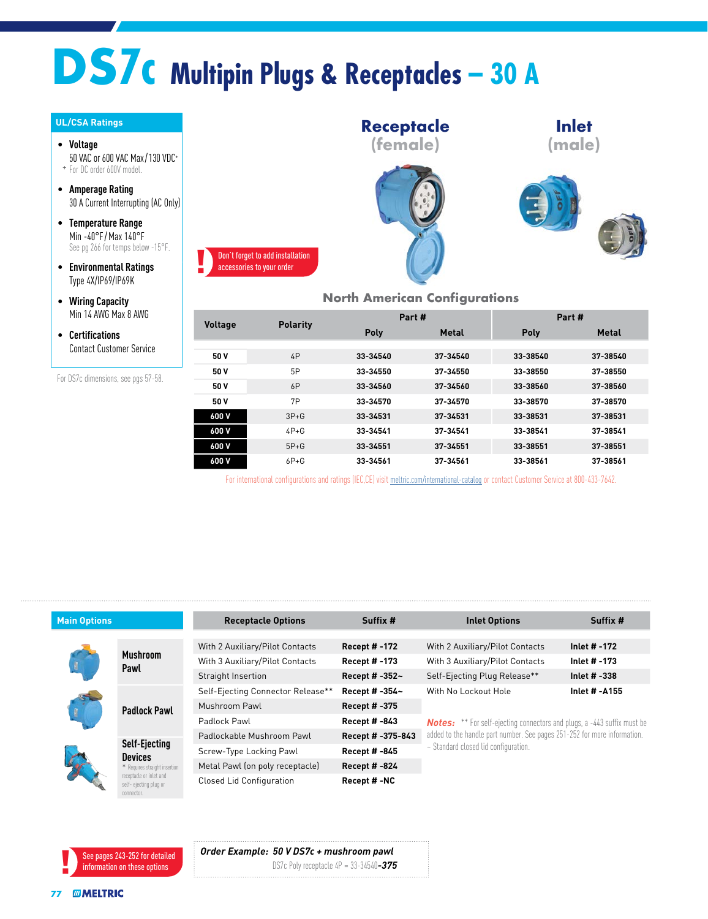# **DS7c Multipin Plugs & Receptacles – 30 A**

#### **UL/CSA Ratings**

• **Voltage** 50 VAC or 600 VAC Max/130 VDC+ + For DC order 600V model.

- **Amperage Rating** 30 A Current Interrupting (AC Only)
- **Temperature Range** Min -40°F / Max 140°F See pg 266 for temps below -15°F.
- **Environmental Ratings** Type 4X/IP69/IP69K
- **Wiring Capacity** Min 14 AWG Max 8 AWG
- **Certifications** Contact Customer Service

For DS7c dimensions, see pgs 57-58.



### **North American Configurations**

| <b>Voltage</b> | <b>Polarity</b> | Part #   |              | Part #   |              |  |
|----------------|-----------------|----------|--------------|----------|--------------|--|
|                |                 | Poly     | <b>Metal</b> | Poly     | <b>Metal</b> |  |
|                |                 |          |              |          |              |  |
| 50 V           | 4P              | 33-34540 | 37-34540     | 33-38540 | 37-38540     |  |
| 50 V           | 5P              | 33-34550 | 37-34550     | 33-38550 | 37-38550     |  |
| 50 V           | 6P              | 33-34560 | 37-34560     | 33-38560 | 37-38560     |  |
| 50 V           | 7P              | 33-34570 | 37-34570     | 33-38570 | 37-38570     |  |
| 600 V          | $3P+G$          | 33-34531 | 37-34531     | 33-38531 | 37-38531     |  |
| 600 V          | $4P+G$          | 33-34541 | 37-34541     | 33-38541 | 37-38541     |  |
| 600 V          | $5P+G$          | 33-34551 | 37-34551     | 33-38551 | 37-38551     |  |
| 600 V          | $6P + G$        | 33-34561 | 37-34561     | 33-38561 | 37-38561     |  |

For international configurations and ratings (IEC,CE) visit meltric.com/international-catalog or contact Customer Service at 800-433-7642.

| <b>Main Options</b> |                                                                         | <b>Receptacle Options</b>                      | Suffix #             | <b>Inlet Options</b>                                                           | Suffix #      |  |  |
|---------------------|-------------------------------------------------------------------------|------------------------------------------------|----------------------|--------------------------------------------------------------------------------|---------------|--|--|
|                     |                                                                         |                                                |                      |                                                                                |               |  |  |
|                     | <b>Mushroom</b><br>Pawl                                                 | With 2 Auxiliary/Pilot Contacts                | <b>Recept #-172</b>  | With 2 Auxiliary/Pilot Contacts                                                | Inlet # -172  |  |  |
|                     |                                                                         | With 3 Auxiliary/Pilot Contacts                | <b>Recept #-173</b>  | With 3 Auxiliary/Pilot Contacts                                                | Inlet # -173  |  |  |
|                     |                                                                         | <b>Straight Insertion</b>                      | Recept # -352~       | Self-Ejecting Plug Release**                                                   | Inlet # -338  |  |  |
|                     | <b>Padlock Pawl</b>                                                     | Self-Ejecting Connector Release**              | Recept # -354~       | With No Lockout Hole                                                           | Inlet # -A155 |  |  |
|                     |                                                                         | Mushroom Pawl                                  | <b>Recept #-375</b>  |                                                                                |               |  |  |
|                     |                                                                         | Padlock Pawl                                   | <b>Recept # -843</b> | <b>Notes:</b> ** For self-ejecting connectors and plugs, a -443 suffix must be |               |  |  |
|                     | <b>Self-Ejecting</b><br><b>Devices</b><br>* Requires straight insertion | Recept # -375-843<br>Padlockable Mushroom Pawl |                      | added to the handle part number. See pages 251-252 for more information.       |               |  |  |
|                     |                                                                         | Screw-Type Locking Pawl                        | Recept # -845        | ~ Standard closed lid configuration.                                           |               |  |  |
|                     |                                                                         | Metal Pawl (on poly receptacle)                | <b>Recept # -824</b> |                                                                                |               |  |  |
|                     | receptacle or inlet and<br>self-ejecting plug or<br>connector.          | <b>Closed Lid Configuration</b>                | Recept #-NC          |                                                                                |               |  |  |



*Order Example: 50 V DS7c + mushroom pawl* DS7c Poly receptacle 4P = 33-34540*-375*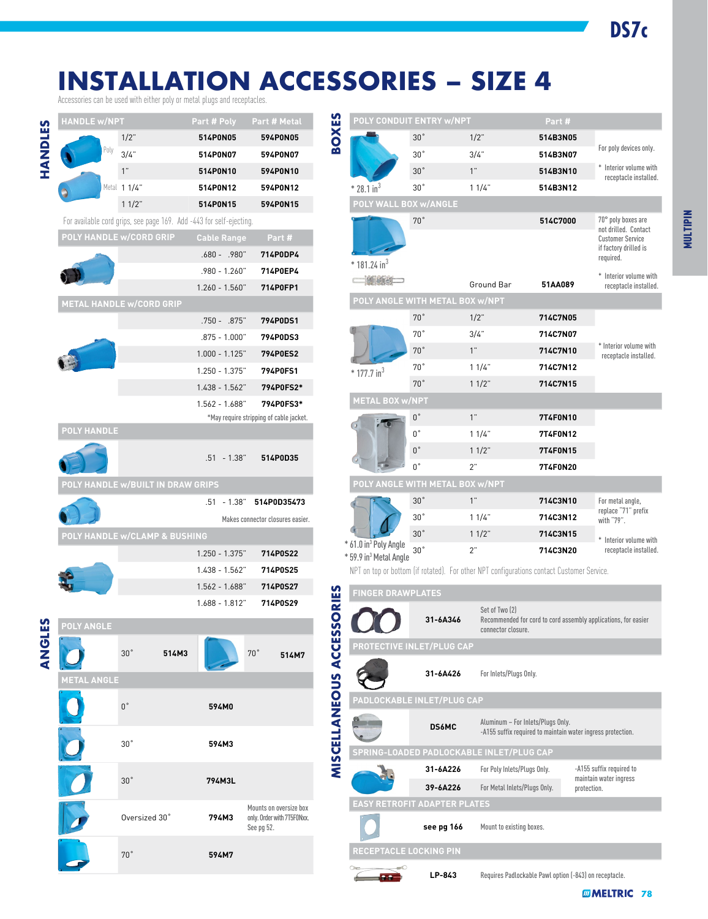## **INSTALLATION ACCESSORIES – SIZE 4**

Accessories can be used with either poly or metal plugs and receptacles.

|            | <b>HANDLE W/NPT</b> |                                                                    | Part # Poly        | Part # Metal                             |                    |                                                                         | POLY CONDUIT ENTRY w/NPT |                                                                                                  | Part#    |                                                    |                                                                |
|------------|---------------------|--------------------------------------------------------------------|--------------------|------------------------------------------|--------------------|-------------------------------------------------------------------------|--------------------------|--------------------------------------------------------------------------------------------------|----------|----------------------------------------------------|----------------------------------------------------------------|
|            |                     | $1/2$ "                                                            | 514P0N05           | 594P0N05                                 | <b>BOXES</b>       |                                                                         | 30°                      | $1/2$ "                                                                                          | 514B3N05 |                                                    |                                                                |
|            |                     | $3/4$ "                                                            | 514P0N07           | 594P0N07                                 |                    |                                                                         | 30 <sup>°</sup>          | 3/4"                                                                                             | 514B3N07 |                                                    | For poly devices only.                                         |
| HANDLES    |                     | $1^{\circ}$                                                        | 514P0N10           | 594P0N10                                 |                    |                                                                         | 30°                      | 1"                                                                                               | 514B3N10 |                                                    | * Interior volume with                                         |
|            |                     | Metal 1 1/4"                                                       | 514P0N12           | 594P0N12                                 |                    | $*$ 28.1 in <sup>3</sup>                                                | 30°                      | 11/4"                                                                                            | 514B3N12 |                                                    | receptacle installed.                                          |
|            |                     | $11/2$ "                                                           | 514P0N15           | 594P0N15                                 |                    | POLY WALL BOX w/ANGLE                                                   |                          |                                                                                                  |          |                                                    |                                                                |
|            |                     | For available cord grips, see page 169. Add -443 for self-ejecting |                    |                                          |                    |                                                                         | $70\degree$              |                                                                                                  | 514C7000 |                                                    | 70° poly boxes are                                             |
|            |                     | <b>POLY HANDLE w/CORD GRIP</b>                                     | <b>Cable Range</b> | Part#                                    |                    |                                                                         |                          |                                                                                                  |          |                                                    | not drilled. Contact                                           |
|            |                     |                                                                    | .680 - .980"       | 714P0DP4                                 |                    |                                                                         |                          |                                                                                                  |          |                                                    | <b>Customer Service</b><br>if factory drilled is               |
|            |                     |                                                                    |                    |                                          |                    | $*$ 181.24 in <sup>3</sup>                                              |                          |                                                                                                  |          |                                                    | required.                                                      |
|            |                     |                                                                    | .980 - 1.260"      | 714P0EP4                                 |                    | <b>EXHIBITE</b>                                                         |                          | Ground Bar                                                                                       | 51AA089  |                                                    | * Interior volume with<br>receptacle installed.                |
|            |                     |                                                                    | $1.260 - 1.560$ "  | 714P0FP1                                 |                    | POLY ANGLE WITH METAL BOX w/NPT                                         |                          |                                                                                                  |          |                                                    |                                                                |
|            |                     | <b>METAL HANDLE w/CORD GRIP</b>                                    |                    |                                          |                    |                                                                         | $70^{\circ}$             | $1/2$ "                                                                                          | 714C7N05 |                                                    |                                                                |
|            |                     |                                                                    | .750 - .875"       | 794P0DS1                                 |                    |                                                                         | $70^{\circ}$             | 3/4"                                                                                             | 714C7N07 |                                                    |                                                                |
|            |                     |                                                                    | $.875 - 1.000$ "   | 794P0DS3                                 |                    |                                                                         | 70°                      | 1"                                                                                               |          |                                                    | * Interior volume with                                         |
|            |                     |                                                                    | $1.000 - 1.125$ "  | 794P0ES2                                 |                    |                                                                         |                          |                                                                                                  | 714C7N10 |                                                    | receptacle installed.                                          |
|            |                     |                                                                    | 1.250 - 1.375"     | 794P0FS1                                 |                    | $*$ 177.7 in <sup>3</sup>                                               | $70^{\circ}$             | 11/4"                                                                                            | 714C7N12 |                                                    |                                                                |
|            |                     |                                                                    | $1.438 - 1.562$ "  | 794P0FS2*                                |                    |                                                                         | $70^\circ$               | $11/2$ "                                                                                         | 714C7N15 |                                                    |                                                                |
|            |                     |                                                                    | $1.562 - 1.688$ "  | 794P0FS3*                                |                    | <b>METAL BOX w/NPT</b>                                                  |                          |                                                                                                  |          |                                                    |                                                                |
|            | <b>POLY HANDLE</b>  |                                                                    |                    | *May require stripping of cable jacket.  |                    |                                                                         | $0^{\circ}$              | $1$ "                                                                                            | 7T4F0N10 |                                                    |                                                                |
|            |                     |                                                                    |                    |                                          |                    |                                                                         | $0^{\circ}$              | 11/4"                                                                                            | 7T4F0N12 |                                                    |                                                                |
|            |                     |                                                                    | $.51 - 1.38$ "     | 514P0D35                                 |                    |                                                                         | $0^{\circ}$              | $11/2$ "                                                                                         | 7T4F0N15 |                                                    |                                                                |
|            |                     |                                                                    |                    |                                          |                    |                                                                         | $0^{\circ}$              | 2"                                                                                               | 7T4F0N20 |                                                    |                                                                |
|            |                     | POLY HANDLE w/BUILT IN DRAW GRIPS                                  |                    |                                          |                    | POLY ANGLE WITH METAL BOX w/NPT                                         |                          |                                                                                                  |          |                                                    |                                                                |
|            |                     |                                                                    |                    | .51 - 1.38" 514P0D35473                  |                    |                                                                         | 30°                      | 1"                                                                                               | 714C3N10 |                                                    | For metal angle,<br>replace "71" prefix                        |
|            |                     |                                                                    |                    | Makes connector closures easier.         |                    |                                                                         | 30°                      | 11/4"                                                                                            | 714C3N12 |                                                    | with "79".                                                     |
|            |                     | POLY HANDLE w/CLAMP & BUSHING                                      |                    |                                          |                    |                                                                         | $30\ensuremath{^\circ}$  | $11/2$ "                                                                                         | 714C3N15 |                                                    | Interior volume with                                           |
|            |                     |                                                                    | $1.250 - 1.375$ "  | 714P0S22                                 |                    | * 61.0 in <sup>3</sup> Poly Angle<br>* 59.9 in <sup>3</sup> Metal Angle | 30 <sup>°</sup>          | $2^{\prime\prime}$                                                                               | 714C3N20 |                                                    | receptacle installed.                                          |
|            |                     |                                                                    | $1.438 - 1.562"$   | 714P0S25                                 |                    |                                                                         |                          | NPT on top or bottom (if rotated). For other NPT configurations contact Customer Service.        |          |                                                    |                                                                |
|            |                     |                                                                    | $1.562 - 1.688$ "  | 714P0S27                                 |                    |                                                                         |                          |                                                                                                  |          |                                                    |                                                                |
|            |                     |                                                                    | $1.688 - 1.812"$   | 714P0S29                                 | SSORIES            | <b>FINGER DRAWPLATES</b>                                                |                          |                                                                                                  |          |                                                    |                                                                |
|            |                     |                                                                    |                    |                                          |                    |                                                                         | 31-6A346                 | Set of Two (2)                                                                                   |          |                                                    | Recommended for cord to cord assembly applications, for easier |
| Ë          | <b>POLY ANGLE</b>   |                                                                    |                    |                                          |                    |                                                                         |                          | connector closure.                                                                               |          |                                                    |                                                                |
| <b>ONA</b> |                     | 30 <sup>°</sup><br>514M3                                           |                    | $70^{\circ}$<br>514M7                    |                    | PROTECTIVE INLET/PLUG CAP                                               |                          |                                                                                                  |          |                                                    |                                                                |
|            |                     |                                                                    |                    |                                          | MISCELLANEOUS ACCE |                                                                         | 31-6A426                 |                                                                                                  |          |                                                    |                                                                |
|            | <b>METAL ANGLE</b>  |                                                                    |                    |                                          |                    |                                                                         |                          | For Inlets/Plugs Only.                                                                           |          |                                                    |                                                                |
|            |                     |                                                                    |                    |                                          |                    | PADLOCKABLE INLET/PLUG CAP                                              |                          |                                                                                                  |          |                                                    |                                                                |
|            |                     | $0^{\,\circ}$                                                      | 594M0              |                                          |                    |                                                                         |                          |                                                                                                  |          |                                                    |                                                                |
|            |                     |                                                                    |                    |                                          |                    |                                                                         | <b>DS6MC</b>             | Aluminum - For Inlets/Plugs Only.<br>-A155 suffix required to maintain water ingress protection. |          |                                                    |                                                                |
|            |                     | 30 <sup>°</sup>                                                    | 594M3              |                                          |                    |                                                                         |                          | SPRING-LOADED PADLOCKABLE INLET/PLUG CAP                                                         |          |                                                    |                                                                |
|            |                     |                                                                    |                    |                                          |                    |                                                                         | 31-6A226                 |                                                                                                  |          |                                                    |                                                                |
|            |                     | 30 <sup>°</sup><br>794M3L                                          |                    |                                          |                    |                                                                         |                          | For Poly Inlets/Plugs Only.                                                                      |          | -A155 suffix required to<br>maintain water ingress |                                                                |
|            |                     |                                                                    |                    |                                          |                    |                                                                         | 39-6A226                 | For Metal Inlets/Plugs Only.                                                                     |          | protection.                                        |                                                                |
|            |                     |                                                                    |                    | Mounts on oversize box                   |                    | <b>EASY RETROFIT ADAPTER PLATES</b>                                     |                          |                                                                                                  |          |                                                    |                                                                |
|            |                     | Oversized 30°                                                      | 794M3              | only. Order with 7T5F0Nxx.<br>See pg 52. |                    |                                                                         | see pg 166               | Mount to existing boxes.                                                                         |          |                                                    |                                                                |
|            |                     |                                                                    |                    |                                          |                    |                                                                         |                          |                                                                                                  |          |                                                    |                                                                |
|            |                     | 70°                                                                | 594M7              |                                          |                    | <b>RECEPTACLE LOCKING PIN</b>                                           |                          |                                                                                                  |          |                                                    |                                                                |

**Big Co** 

**DS7c**

*M***MELTRIC** [7](https://www.meltric.com)8

**LP-843** Requires Padlockable Pawl option (-843) on receptacle.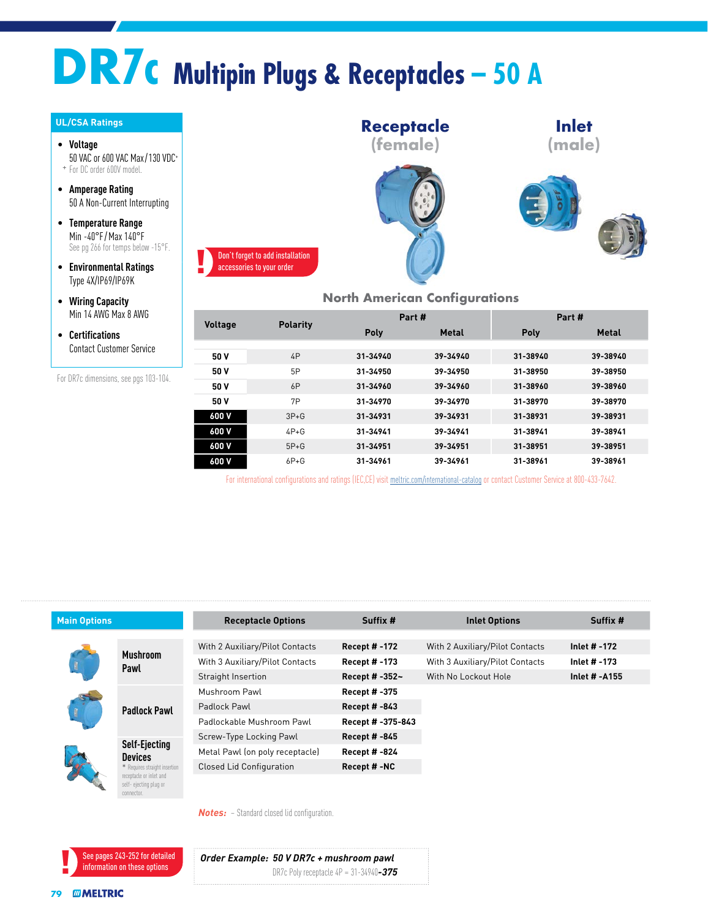# **DR7c Multipin Plugs & Receptacles – 50 A**

#### **UL/CSA Ratings**

• **Voltage** 50 VAC or 600 VAC Max/130 VDC+ + For DC order 600V model.

• **Amperage Rating** 50 A Non-Current Interrupting

- **Temperature Range** Min -40°F / Max 140°F See pg 266 for temps below -15°F.
- **Environmental Ratings** Type 4X/IP69/IP69K

• **Wiring Capacity** Min 14 AWG Max 8 AWG

• **Certifications** Contact Customer Service



### **North American Configurations**

| <b>Voltage</b> | <b>Polarity</b> | Part #   |              | Part #   |              |  |
|----------------|-----------------|----------|--------------|----------|--------------|--|
|                |                 | Poly     | <b>Metal</b> | Poly     | <b>Metal</b> |  |
|                |                 |          |              |          |              |  |
| 50 V           | 4P              | 31-34940 | 39-34940     | 31-38940 | 39-38940     |  |
| 50 V           | 5P              | 31-34950 | 39-34950     | 31-38950 | 39-38950     |  |
| 50 V           | 6P              | 31-34960 | 39-34960     | 31-38960 | 39-38960     |  |
| 50 V           | 7P              | 31-34970 | 39-34970     | 31-38970 | 39-38970     |  |
| 600 V          | $3P+G$          | 31-34931 | 39-34931     | 31-38931 | 39-38931     |  |
| 600 V          | $4P+G$          | 31-34941 | 39-34941     | 31-38941 | 39-38941     |  |
| 600 V          | $5P+G$          | 31-34951 | 39-34951     | 31-38951 | 39-38951     |  |
| 600 V          | $6P + G$        | 31-34961 | 39-34961     | 31-38961 | 39-38961     |  |

| For DR7c dimensions, see pgs 103-104. |                                                                                                  | 50 V                            | 6P       | 31-34960             | 39-34960                        | 31-38960             | 39-38960                  |
|---------------------------------------|--------------------------------------------------------------------------------------------------|---------------------------------|----------|----------------------|---------------------------------|----------------------|---------------------------|
|                                       |                                                                                                  | 50 V                            | 7P       | 31-34970             | 39-34970                        | 31-38970             | 39-38970                  |
|                                       |                                                                                                  | 600 V                           | $3P + G$ | 31-34931             | 39-34931                        | 31-38931             | 39-38931                  |
|                                       |                                                                                                  | 600 V                           | $4P+G$   | 31-34941             | 39-34941                        | 31-38941             | 39-38941                  |
|                                       |                                                                                                  | 600 V                           | $5P+G$   | 31-34951             | 39-34951                        | 31-38951             | 39-38951                  |
|                                       |                                                                                                  | 600 V                           | $6P + G$ | 31-34961             | 39-34961                        | 31-38961             | 39-38961                  |
|                                       |                                                                                                  |                                 |          |                      |                                 |                      |                           |
|                                       |                                                                                                  |                                 |          |                      |                                 |                      |                           |
|                                       |                                                                                                  | <b>Receptacle Options</b>       |          | Suffix #             |                                 | <b>Inlet Options</b> |                           |
|                                       |                                                                                                  | With 2 Auxiliary/Pilot Contacts |          | Recept # -172        | With 2 Auxiliary/Pilot Contacts |                      | Inlet # -172              |
|                                       | <b>Mushroom</b>                                                                                  | With 3 Auxiliary/Pilot Contacts |          | Recept # -173        | With 3 Auxiliary/Pilot Contacts |                      | Inlet # -173              |
|                                       | Pawl                                                                                             | Straight Insertion              |          | Recept # -352~       | With No Lockout Hole            |                      |                           |
|                                       |                                                                                                  | Mushroom Pawl                   |          | Recept # -375        |                                 |                      |                           |
|                                       | <b>Padlock Pawl</b>                                                                              | Padlock Pawl                    |          | Recept # -843        |                                 |                      |                           |
|                                       |                                                                                                  | Padlockable Mushroom Pawl       |          | Recept # -375-843    |                                 |                      |                           |
|                                       |                                                                                                  | Screw-Type Locking Pawl         |          | <b>Recept #-845</b>  |                                 |                      |                           |
|                                       | Self-Ejecting<br><b>Devices</b>                                                                  | Metal Pawl (on poly receptacle) |          | <b>Recept # -824</b> |                                 |                      |                           |
| <b>Main Options</b>                   | * Requires straight insertion<br>receptacle or inlet and<br>self- ejecting plug or<br>connector. | <b>Closed Lid Configuration</b> |          | Recept #-NC          |                                 |                      | Suffix #<br>Inlet # -A155 |

See pages 243-252 for detailed information on these options

*Order Example: 50 V DR7c + mushroom pawl* DR7c Poly receptacle 4P = 31-34940*-375*